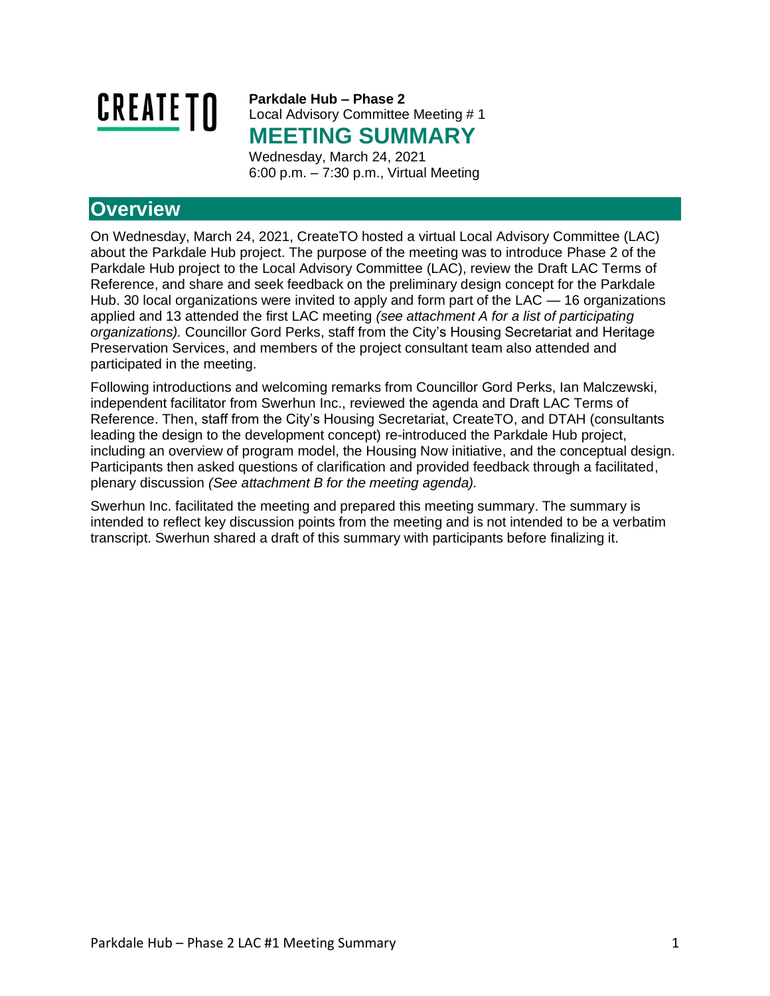

**Parkdale Hub – Phase 2** Local Advisory Committee Meeting # 1 **MEETING SUMMARY**

Wednesday, March 24, 2021 6:00 p.m. – 7:30 p.m., Virtual Meeting

## **Overview**

On Wednesday, March 24, 2021, CreateTO hosted a virtual Local Advisory Committee (LAC) about the Parkdale Hub project. The purpose of the meeting was to introduce Phase 2 of the Parkdale Hub project to the Local Advisory Committee (LAC), review the Draft LAC Terms of Reference, and share and seek feedback on the preliminary design concept for the Parkdale Hub. 30 local organizations were invited to apply and form part of the LAC — 16 organizations applied and 13 attended the first LAC meeting *(see attachment A for a list of participating organizations).* Councillor Gord Perks, staff from the City's Housing Secretariat and Heritage Preservation Services, and members of the project consultant team also attended and participated in the meeting.

Following introductions and welcoming remarks from Councillor Gord Perks, Ian Malczewski, independent facilitator from Swerhun Inc., reviewed the agenda and Draft LAC Terms of Reference. Then, staff from the City's Housing Secretariat, CreateTO, and DTAH (consultants leading the design to the development concept) re-introduced the Parkdale Hub project, including an overview of program model, the Housing Now initiative, and the conceptual design. Participants then asked questions of clarification and provided feedback through a facilitated, plenary discussion *(See attachment B for the meeting agenda).* 

Swerhun Inc. facilitated the meeting and prepared this meeting summary. The summary is intended to reflect key discussion points from the meeting and is not intended to be a verbatim transcript. Swerhun shared a draft of this summary with participants before finalizing it.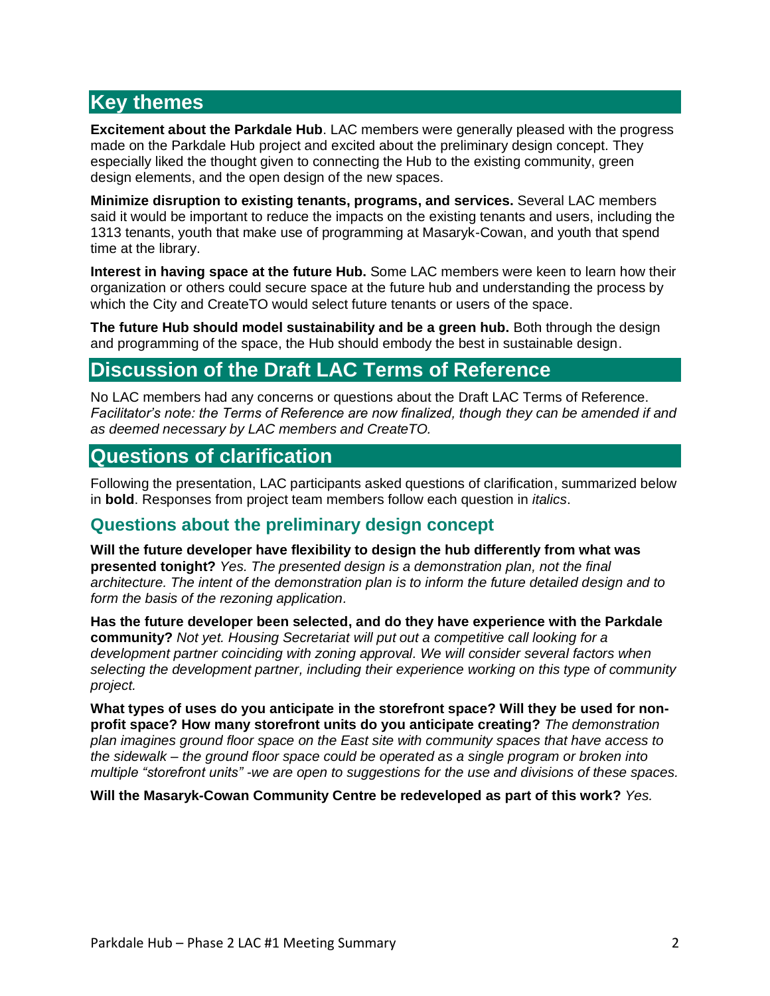## **Key themes**

**Excitement about the Parkdale Hub**. LAC members were generally pleased with the progress made on the Parkdale Hub project and excited about the preliminary design concept. They especially liked the thought given to connecting the Hub to the existing community, green design elements, and the open design of the new spaces.

**Minimize disruption to existing tenants, programs, and services.** Several LAC members said it would be important to reduce the impacts on the existing tenants and users, including the 1313 tenants, youth that make use of programming at Masaryk-Cowan, and youth that spend time at the library.

**Interest in having space at the future Hub.** Some LAC members were keen to learn how their organization or others could secure space at the future hub and understanding the process by which the City and CreateTO would select future tenants or users of the space.

**The future Hub should model sustainability and be a green hub.** Both through the design and programming of the space, the Hub should embody the best in sustainable design.

## **Discussion of the Draft LAC Terms of Reference**

No LAC members had any concerns or questions about the Draft LAC Terms of Reference. *Facilitator's note: the Terms of Reference are now finalized, though they can be amended if and as deemed necessary by LAC members and CreateTO.*

### **Questions of clarification**

Following the presentation, LAC participants asked questions of clarification, summarized below in **bold**. Responses from project team members follow each question in *italics*.

### **Questions about the preliminary design concept**

**Will the future developer have flexibility to design the hub differently from what was presented tonight?** *Yes. The presented design is a demonstration plan, not the final architecture. The intent of the demonstration plan is to inform the future detailed design and to form the basis of the rezoning application.*

**Has the future developer been selected, and do they have experience with the Parkdale community?** *Not yet. Housing Secretariat will put out a competitive call looking for a development partner coinciding with zoning approval. We will consider several factors when selecting the development partner, including their experience working on this type of community project.*

**What types of uses do you anticipate in the storefront space? Will they be used for nonprofit space? How many storefront units do you anticipate creating?** *The demonstration plan imagines ground floor space on the East site with community spaces that have access to the sidewalk – the ground floor space could be operated as a single program or broken into multiple "storefront units" -we are open to suggestions for the use and divisions of these spaces.*

**Will the Masaryk-Cowan Community Centre be redeveloped as part of this work?** *Yes.*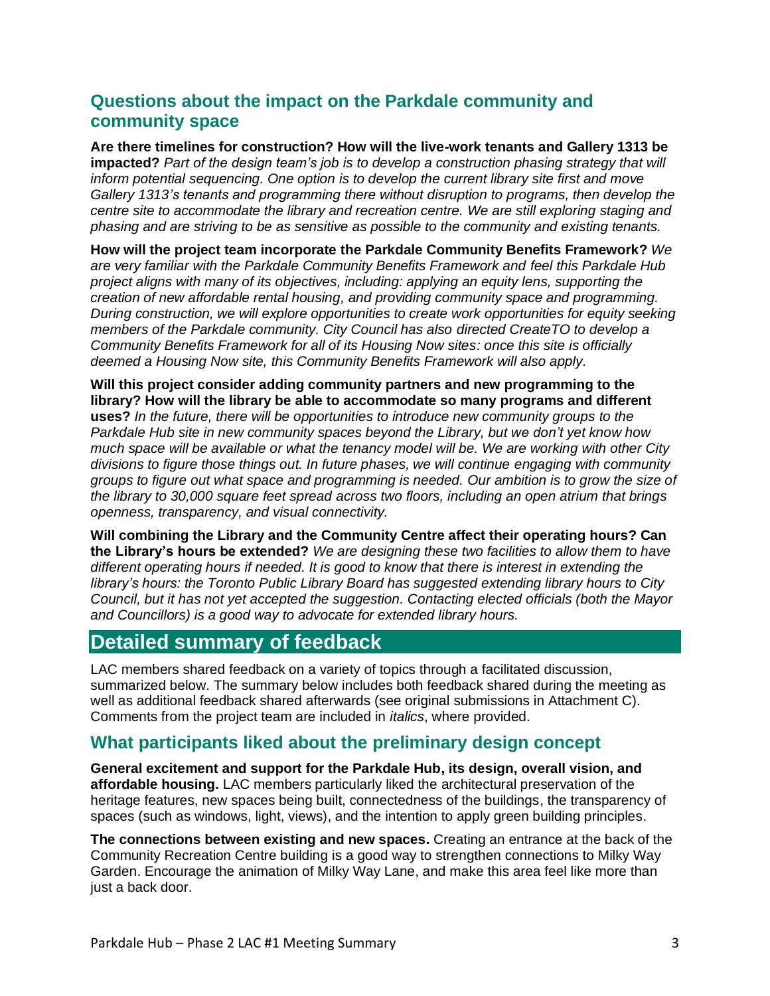## **Questions about the impact on the Parkdale community and community space**

**Are there timelines for construction? How will the live-work tenants and Gallery 1313 be impacted?** *Part of the design team's job is to develop a construction phasing strategy that will inform potential sequencing. One option is to develop the current library site first and move Gallery 1313's tenants and programming there without disruption to programs, then develop the centre site to accommodate the library and recreation centre. We are still exploring staging and phasing and are striving to be as sensitive as possible to the community and existing tenants.* 

**How will the project team incorporate the Parkdale Community Benefits Framework?** *We are very familiar with the Parkdale Community Benefits Framework and feel this Parkdale Hub project aligns with many of its objectives, including: applying an equity lens, supporting the creation of new affordable rental housing, and providing community space and programming. During construction, we will explore opportunities to create work opportunities for equity seeking members of the Parkdale community. City Council has also directed CreateTO to develop a Community Benefits Framework for all of its Housing Now sites: once this site is officially deemed a Housing Now site, this Community Benefits Framework will also apply.*

**Will this project consider adding community partners and new programming to the library? How will the library be able to accommodate so many programs and different uses?** *In the future, there will be opportunities to introduce new community groups to the Parkdale Hub site in new community spaces beyond the Library, but we don't yet know how much space will be available or what the tenancy model will be. We are working with other City divisions to figure those things out. In future phases, we will continue engaging with community groups to figure out what space and programming is needed. Our ambition is to grow the size of the library to 30,000 square feet spread across two floors, including an open atrium that brings openness, transparency, and visual connectivity.*

**Will combining the Library and the Community Centre affect their operating hours? Can the Library's hours be extended?** *We are designing these two facilities to allow them to have different operating hours if needed. It is good to know that there is interest in extending the library's hours: the Toronto Public Library Board has suggested extending library hours to City Council, but it has not yet accepted the suggestion. Contacting elected officials (both the Mayor and Councillors) is a good way to advocate for extended library hours.*

## **Detailed summary of feedback**

LAC members shared feedback on a variety of topics through a facilitated discussion, summarized below. The summary below includes both feedback shared during the meeting as well as additional feedback shared afterwards (see original submissions in Attachment C). Comments from the project team are included in *italics*, where provided.

### **What participants liked about the preliminary design concept**

**General excitement and support for the Parkdale Hub, its design, overall vision, and affordable housing.** LAC members particularly liked the architectural preservation of the heritage features, new spaces being built, connectedness of the buildings, the transparency of spaces (such as windows, light, views), and the intention to apply green building principles.

**The connections between existing and new spaces.** Creating an entrance at the back of the Community Recreation Centre building is a good way to strengthen connections to Milky Way Garden. Encourage the animation of Milky Way Lane, and make this area feel like more than just a back door.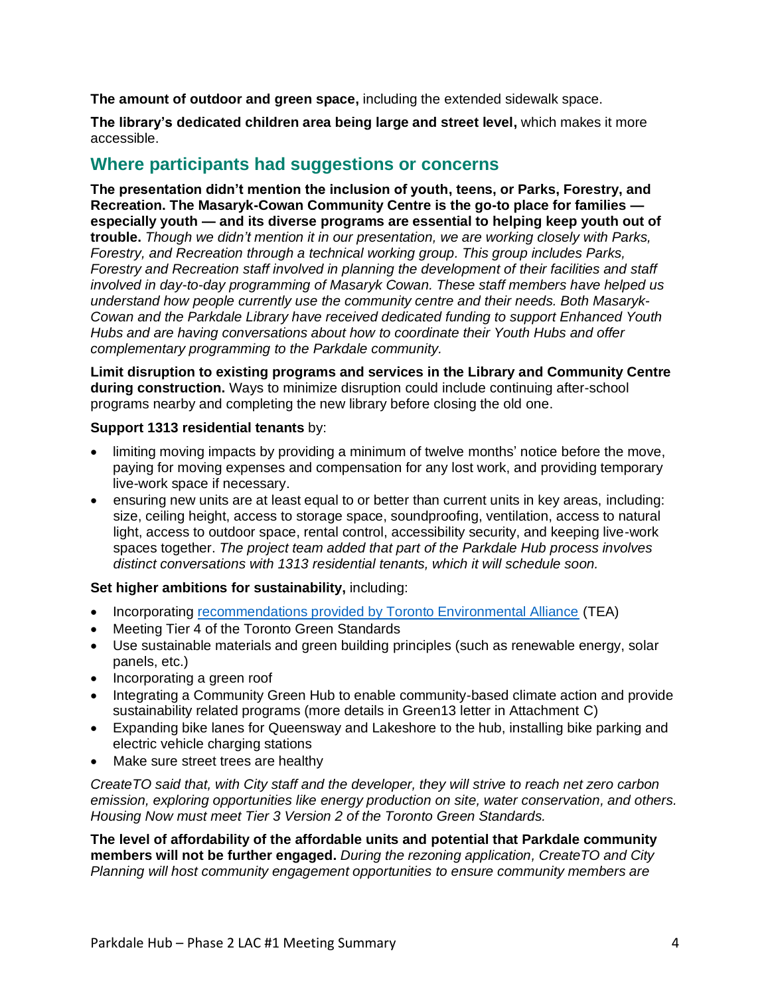**The amount of outdoor and green space,** including the extended sidewalk space.

**The library's dedicated children area being large and street level,** which makes it more accessible.

### **Where participants had suggestions or concerns**

**The presentation didn't mention the inclusion of youth, teens, or Parks, Forestry, and Recreation. The Masaryk-Cowan Community Centre is the go-to place for families especially youth — and its diverse programs are essential to helping keep youth out of trouble.** *Though we didn't mention it in our presentation, we are working closely with Parks, Forestry, and Recreation through a technical working group. This group includes Parks, Forestry and Recreation staff involved in planning the development of their facilities and staff involved in day-to-day programming of Masaryk Cowan. These staff members have helped us understand how people currently use the community centre and their needs. Both Masaryk-Cowan and the Parkdale Library have received dedicated funding to support Enhanced Youth Hubs and are having conversations about how to coordinate their Youth Hubs and offer complementary programming to the Parkdale community.*

**Limit disruption to existing programs and services in the Library and Community Centre during construction.** Ways to minimize disruption could include continuing after-school programs nearby and completing the new library before closing the old one.

#### **Support 1313 residential tenants** by:

- limiting moving impacts by providing a minimum of twelve months' notice before the move, paying for moving expenses and compensation for any lost work, and providing temporary live-work space if necessary.
- ensuring new units are at least equal to or better than current units in key areas, including: size, ceiling height, access to storage space, soundproofing, ventilation, access to natural light, access to outdoor space, rental control, accessibility security, and keeping live-work spaces together. *The project team added that part of the Parkdale Hub process involves distinct conversations with 1313 residential tenants, which it will schedule soon.*

#### **Set higher ambitions for sustainability,** including:

- Incorporating [recommendations provided by Toronto Environmental Alliance](https://www.toronto.ca/legdocs/mmis/2019/cc/comm/communicationfile-99838.pdf) (TEA)
- Meeting Tier 4 of the Toronto Green Standards
- Use sustainable materials and green building principles (such as renewable energy, solar panels, etc.)
- Incorporating a green roof
- Integrating a Community Green Hub to enable community-based climate action and provide sustainability related programs (more details in Green13 letter in Attachment C)
- Expanding bike lanes for Queensway and Lakeshore to the hub, installing bike parking and electric vehicle charging stations
- Make sure street trees are healthy

*CreateTO said that, with City staff and the developer, they will strive to reach net zero carbon emission, exploring opportunities like energy production on site, water conservation, and others. Housing Now must meet Tier 3 Version 2 of the Toronto Green Standards.* 

**The level of affordability of the affordable units and potential that Parkdale community members will not be further engaged.** *During the rezoning application, CreateTO and City Planning will host community engagement opportunities to ensure community members are*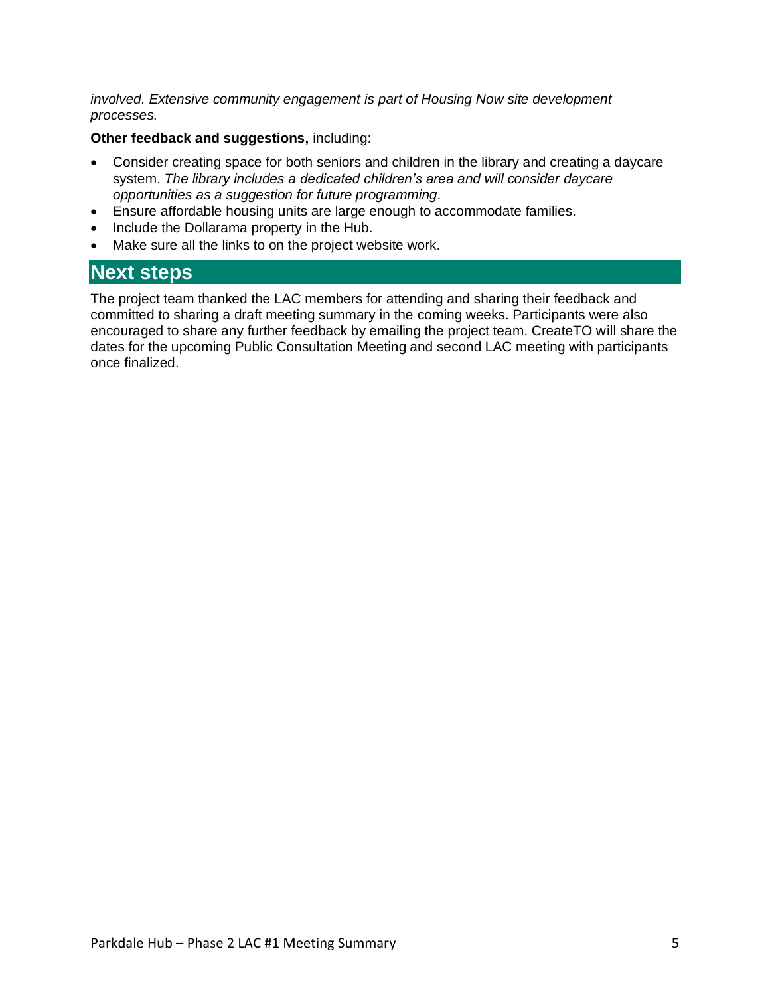*involved. Extensive community engagement is part of Housing Now site development processes.*

#### **Other feedback and suggestions,** including:

- Consider creating space for both seniors and children in the library and creating a daycare system. *The library includes a dedicated children's area and will consider daycare opportunities as a suggestion for future programming.*
- Ensure affordable housing units are large enough to accommodate families.
- Include the Dollarama property in the Hub.
- Make sure all the links to on the project website work.

### **Next steps**

The project team thanked the LAC members for attending and sharing their feedback and committed to sharing a draft meeting summary in the coming weeks. Participants were also encouraged to share any further feedback by emailing the project team. CreateTO will share the dates for the upcoming Public Consultation Meeting and second LAC meeting with participants once finalized.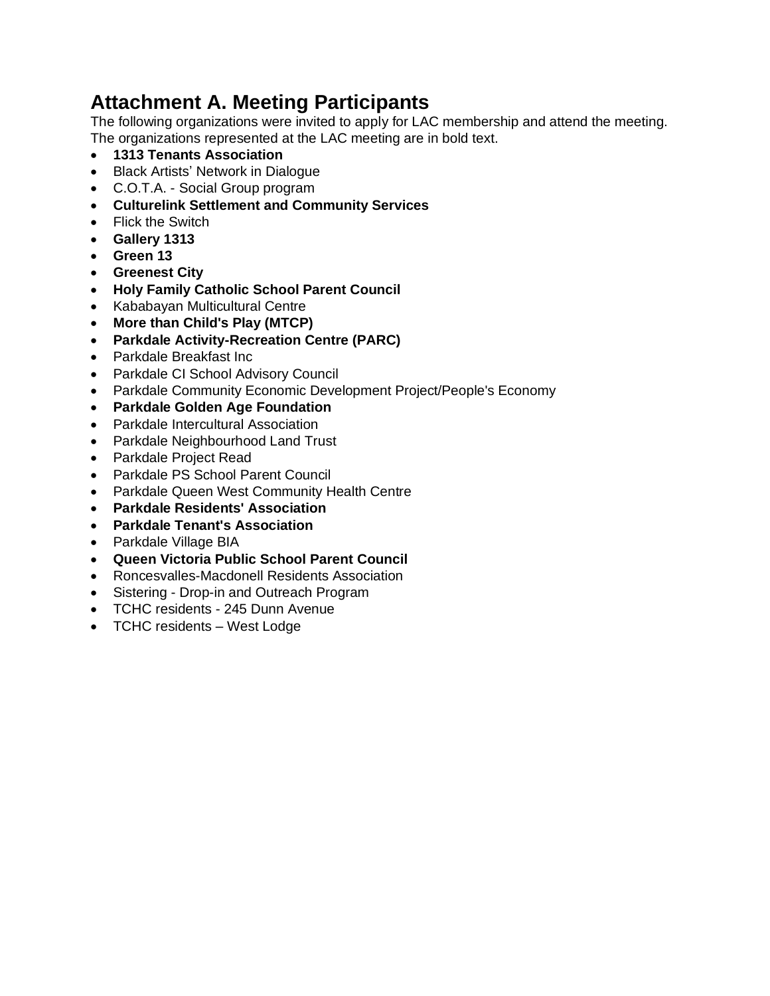# **Attachment A. Meeting Participants**

The following organizations were invited to apply for LAC membership and attend the meeting. The organizations represented at the LAC meeting are in bold text.

- **1313 Tenants Association**
- Black Artists' Network in Dialogue
- C.O.T.A. Social Group program
- **Culturelink Settlement and Community Services**
- Flick the Switch
- **Gallery 1313**
- **Green 13**
- **Greenest City**
- **Holy Family Catholic School Parent Council**
- Kababayan Multicultural Centre
- **More than Child's Play (MTCP)**
- **Parkdale Activity-Recreation Centre (PARC)**
- Parkdale Breakfast Inc
- Parkdale CI School Advisory Council
- Parkdale Community Economic Development Project/People's Economy
- **Parkdale Golden Age Foundation**
- Parkdale Intercultural Association
- Parkdale Neighbourhood Land Trust
- Parkdale Project Read
- Parkdale PS School Parent Council
- Parkdale Queen West Community Health Centre
- **Parkdale Residents' Association**
- **Parkdale Tenant's Association**
- Parkdale Village BIA
- **Queen Victoria Public School Parent Council**
- Roncesvalles-Macdonell Residents Association
- Sistering Drop-in and Outreach Program
- TCHC residents 245 Dunn Avenue
- TCHC residents West Lodge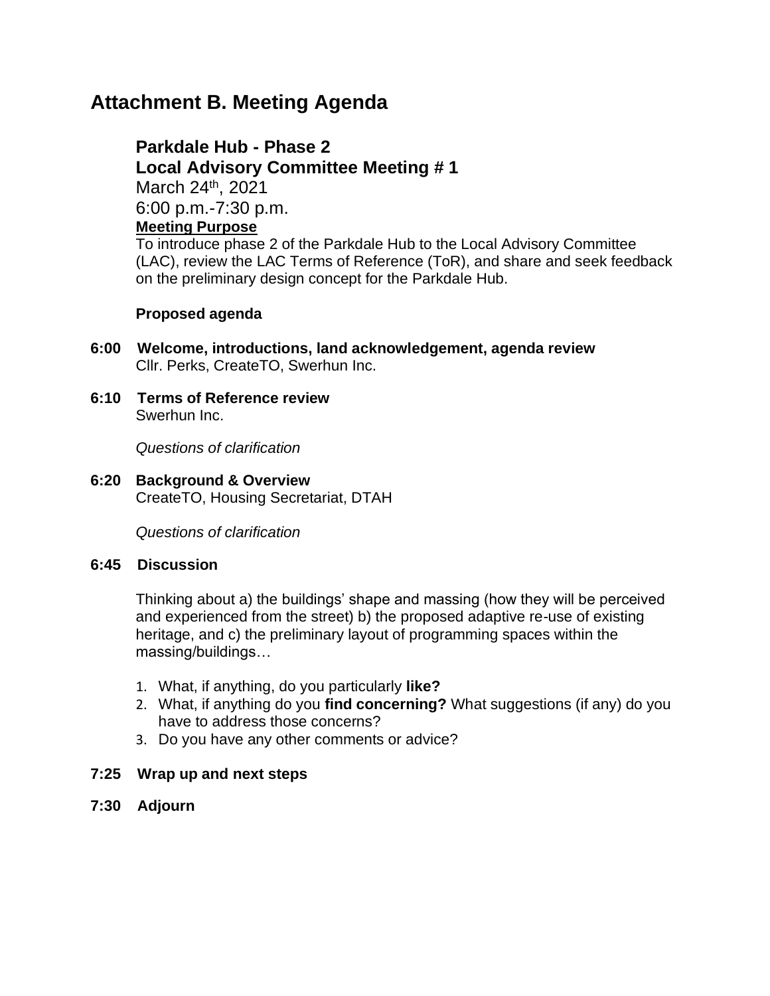## **Attachment B. Meeting Agenda**

**Parkdale Hub - Phase 2 Local Advisory Committee Meeting # 1** March 24th, 2021 6:00 p.m.-7:30 p.m. **Meeting Purpose** To introduce phase 2 of the Parkdale Hub to the Local Advisory Committee (LAC), review the LAC Terms of Reference (ToR), and share and seek feedback

#### **Proposed agenda**

**6:00 Welcome, introductions, land acknowledgement, agenda review** Cllr. Perks, CreateTO, Swerhun Inc.

on the preliminary design concept for the Parkdale Hub.

**6:10 Terms of Reference review**  Swerhun Inc.

*Questions of clarification*

**6:20 Background & Overview** CreateTO, Housing Secretariat, DTAH

*Questions of clarification*

#### **6:45 Discussion**

Thinking about a) the buildings' shape and massing (how they will be perceived and experienced from the street) b) the proposed adaptive re-use of existing heritage, and c) the preliminary layout of programming spaces within the massing/buildings…

- 1. What, if anything, do you particularly **like?**
- 2. What, if anything do you **find concerning?** What suggestions (if any) do you have to address those concerns?
- 3. Do you have any other comments or advice?

#### **7:25 Wrap up and next steps**

**7:30 Adjourn**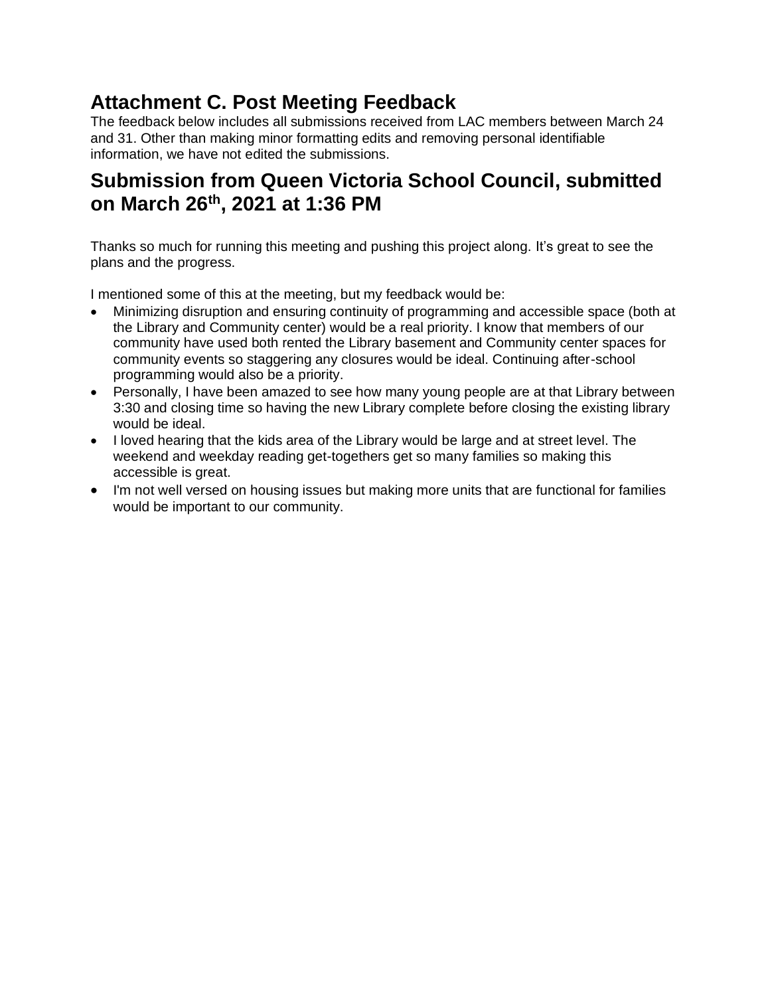# **Attachment C. Post Meeting Feedback**

The feedback below includes all submissions received from LAC members between March 24 and 31. Other than making minor formatting edits and removing personal identifiable information, we have not edited the submissions.

# **Submission from Queen Victoria School Council, submitted on March 26th, 2021 at 1:36 PM**

Thanks so much for running this meeting and pushing this project along. It's great to see the plans and the progress.

I mentioned some of this at the meeting, but my feedback would be:

- Minimizing disruption and ensuring continuity of programming and accessible space (both at the Library and Community center) would be a real priority. I know that members of our community have used both rented the Library basement and Community center spaces for community events so staggering any closures would be ideal. Continuing after-school programming would also be a priority.
- Personally, I have been amazed to see how many young people are at that Library between 3:30 and closing time so having the new Library complete before closing the existing library would be ideal.
- I loved hearing that the kids area of the Library would be large and at street level. The weekend and weekday reading get-togethers get so many families so making this accessible is great.
- I'm not well versed on housing issues but making more units that are functional for families would be important to our community.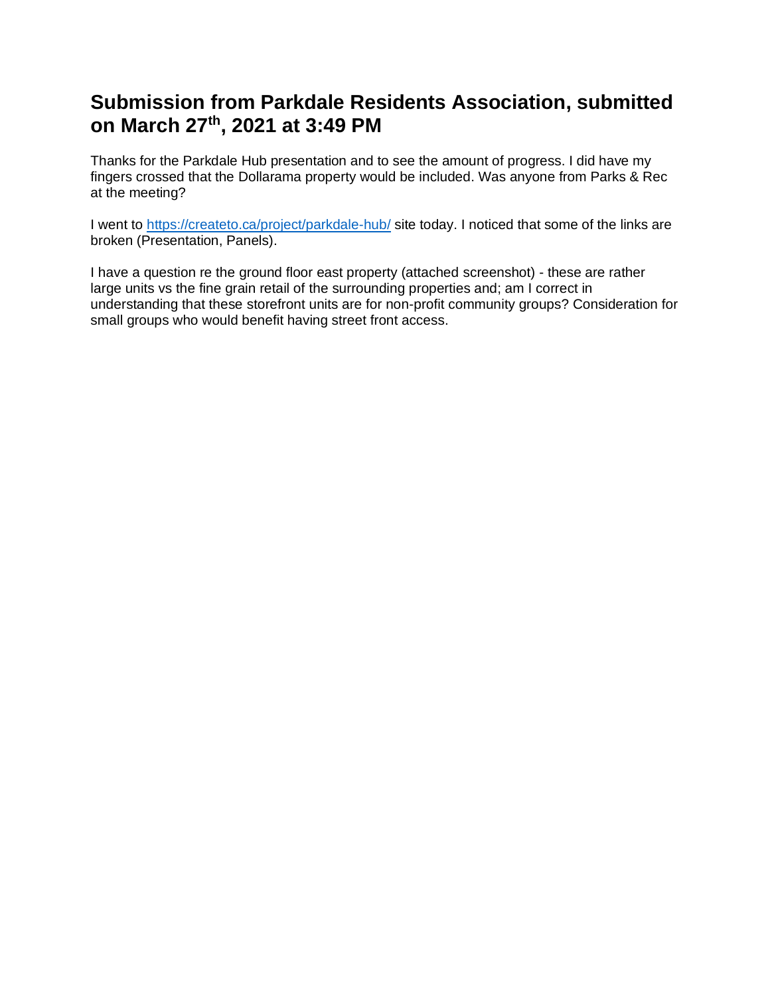## **Submission from Parkdale Residents Association, submitted on March 27th, 2021 at 3:49 PM**

Thanks for the Parkdale Hub presentation and to see the amount of progress. I did have my fingers crossed that the Dollarama property would be included. Was anyone from Parks & Rec at the meeting?

I went to <https://createto.ca/project/parkdale-hub/> site today. I noticed that some of the links are broken (Presentation, Panels).

I have a question re the ground floor east property (attached screenshot) - these are rather large units vs the fine grain retail of the surrounding properties and; am I correct in understanding that these storefront units are for non-profit community groups? Consideration for small groups who would benefit having street front access.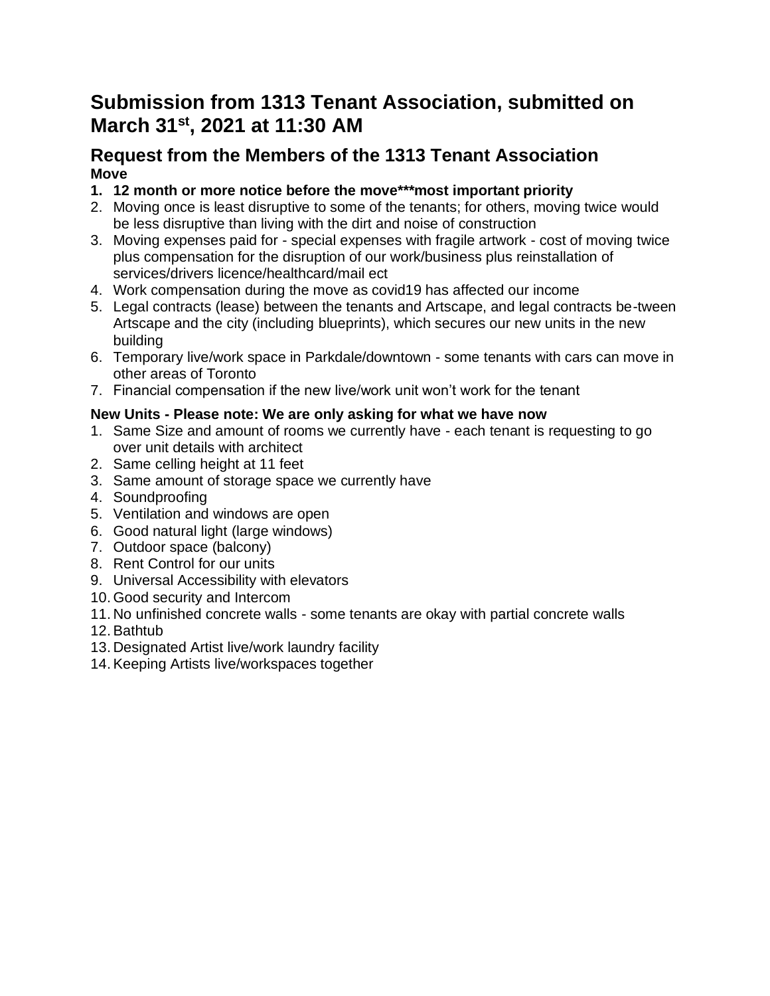## **Submission from 1313 Tenant Association, submitted on March 31st, 2021 at 11:30 AM**

### **Request from the Members of the 1313 Tenant Association Move**

- **1. 12 month or more notice before the move\*\*\*most important priority**
- 2. Moving once is least disruptive to some of the tenants; for others, moving twice would be less disruptive than living with the dirt and noise of construction
- 3. Moving expenses paid for special expenses with fragile artwork cost of moving twice plus compensation for the disruption of our work/business plus reinstallation of services/drivers licence/healthcard/mail ect
- 4. Work compensation during the move as covid19 has affected our income
- 5. Legal contracts (lease) between the tenants and Artscape, and legal contracts be-tween Artscape and the city (including blueprints), which secures our new units in the new building
- 6. Temporary live/work space in Parkdale/downtown some tenants with cars can move in other areas of Toronto
- 7. Financial compensation if the new live/work unit won't work for the tenant

### **New Units - Please note: We are only asking for what we have now**

- 1. Same Size and amount of rooms we currently have each tenant is requesting to go over unit details with architect
- 2. Same celling height at 11 feet
- 3. Same amount of storage space we currently have
- 4. Soundproofing
- 5. Ventilation and windows are open
- 6. Good natural light (large windows)
- 7. Outdoor space (balcony)
- 8. Rent Control for our units
- 9. Universal Accessibility with elevators
- 10. Good security and Intercom
- 11. No unfinished concrete walls some tenants are okay with partial concrete walls
- 12.Bathtub
- 13. Designated Artist live/work laundry facility
- 14.Keeping Artists live/workspaces together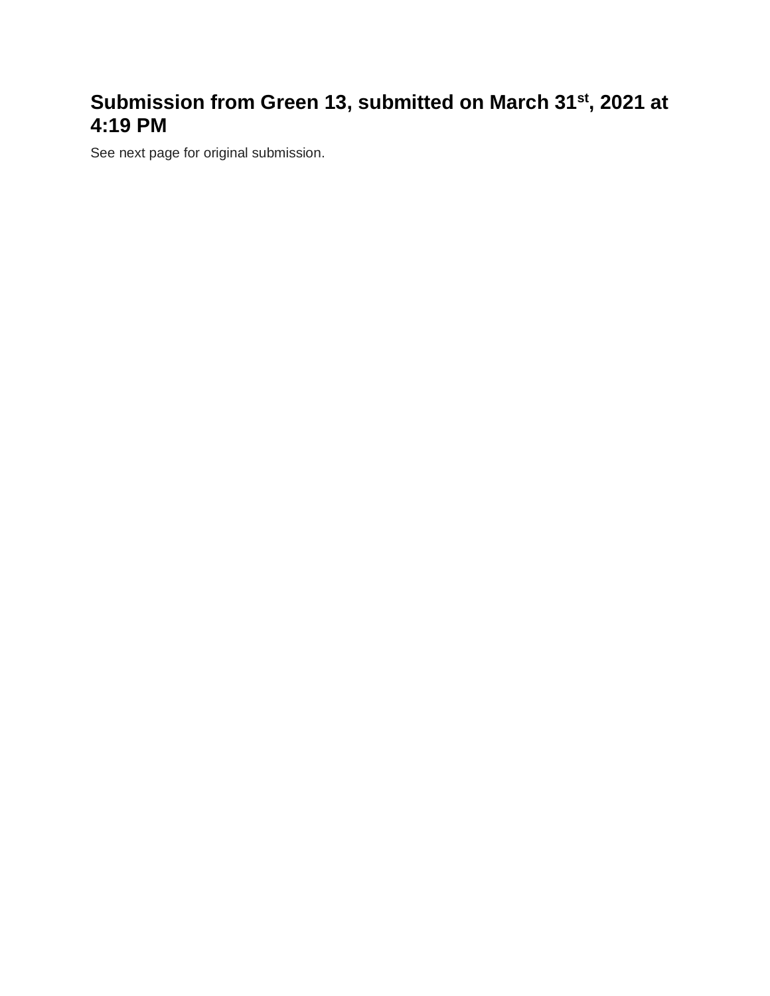# **Submission from Green 13, submitted on March 31st, 2021 at 4:19 PM**

See next page for original submission.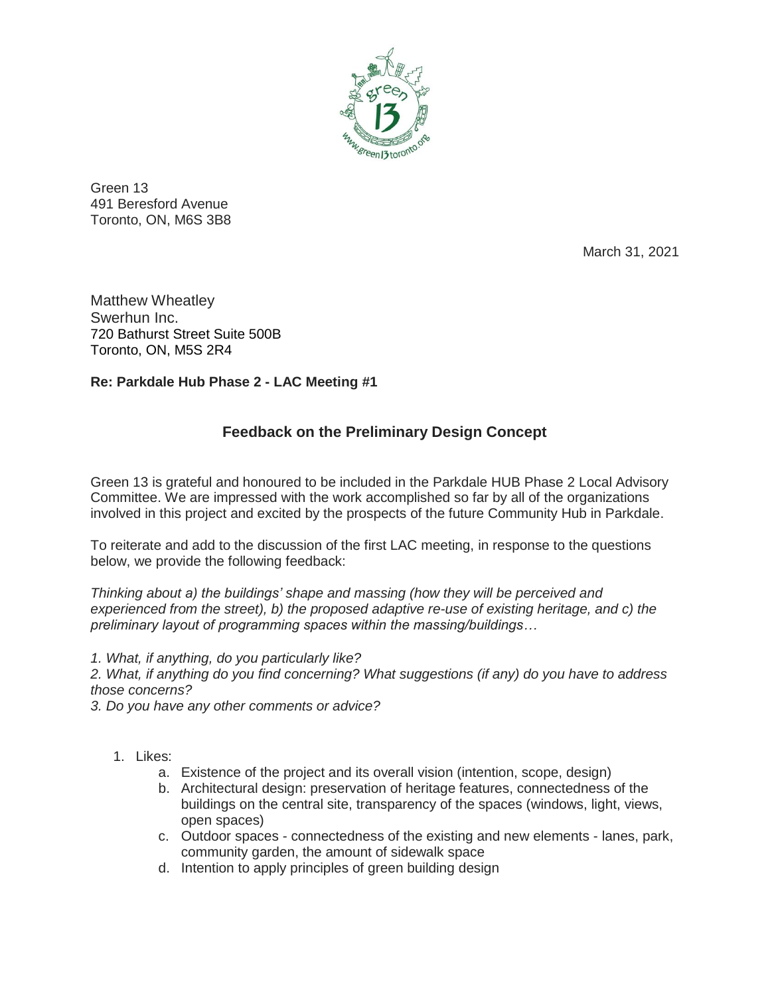

Green 13 491 Beresford Avenue Toronto, ON, M6S 3B8

March 31, 2021

Matthew Wheatley Swerhun Inc. 720 Bathurst Street Suite 500B Toronto, ON, M5S 2R4

#### **Re: Parkdale Hub Phase 2 - LAC Meeting #1**

### **Feedback on the Preliminary Design Concept**

Green 13 is grateful and honoured to be included in the Parkdale HUB Phase 2 Local Advisory Committee. We are impressed with the work accomplished so far by all of the organizations involved in this project and excited by the prospects of the future Community Hub in Parkdale.

To reiterate and add to the discussion of the first LAC meeting, in response to the questions below, we provide the following feedback:

*Thinking about a) the buildings' shape and massing (how they will be perceived and experienced from the street), b) the proposed adaptive re-use of existing heritage, and c) the preliminary layout of programming spaces within the massing/buildings…*

*1. What, if anything, do you particularly like?*

*2. What, if anything do you find concerning? What suggestions (if any) do you have to address those concerns?*

*3. Do you have any other comments or advice?*

- 1. Likes:
	- a. Existence of the project and its overall vision (intention, scope, design)
	- b. Architectural design: preservation of heritage features, connectedness of the buildings on the central site, transparency of the spaces (windows, light, views, open spaces)
	- c. Outdoor spaces connectedness of the existing and new elements lanes, park, community garden, the amount of sidewalk space
	- d. Intention to apply principles of green building design